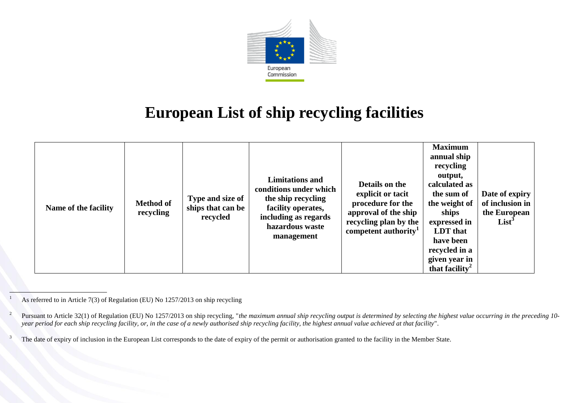

## **European List of ship recycling facilities**

| Name of the facility | <b>Method of</b><br>recycling | Type and size of<br>ships that can be<br>recycled | <b>Limitations and</b><br>conditions under which<br>the ship recycling<br>facility operates,<br>including as regards<br>hazardous waste<br>management | Details on the<br>explicit or tacit<br>procedure for the<br>approval of the ship<br>recycling plan by the<br>competent authority <sup>1</sup> | <b>Maximum</b><br>annual ship<br>recycling<br>output,<br>calculated as<br>the sum of<br>the weight of<br>ships<br>expressed in<br>LDT that<br>have been<br>recycled in a<br>given year in<br>that facility <sup>2</sup> | Date of expiry<br>of inclusion in<br>the European<br>$List^3$ |
|----------------------|-------------------------------|---------------------------------------------------|-------------------------------------------------------------------------------------------------------------------------------------------------------|-----------------------------------------------------------------------------------------------------------------------------------------------|-------------------------------------------------------------------------------------------------------------------------------------------------------------------------------------------------------------------------|---------------------------------------------------------------|
|----------------------|-------------------------------|---------------------------------------------------|-------------------------------------------------------------------------------------------------------------------------------------------------------|-----------------------------------------------------------------------------------------------------------------------------------------------|-------------------------------------------------------------------------------------------------------------------------------------------------------------------------------------------------------------------------|---------------------------------------------------------------|

As referred to in Article 7(3) of Regulation (EU) No 1257/2013 on ship recycling

 $1\,$ 

<sup>2</sup> Pursuant to Article 32(1) of Regulation (EU) No 1257/2013 on ship recycling, "*the maximum annual ship recycling output is determined by selecting the highest value occurring in the preceding 10 year period for each ship recycling facility, or, in the case of a newly authorised ship recycling facility, the highest annual value achieved at that facility*".

<sup>&</sup>lt;sup>3</sup> The date of expiry of inclusion in the European List corresponds to the date of expiry of the permit or authorisation granted to the facility in the Member State.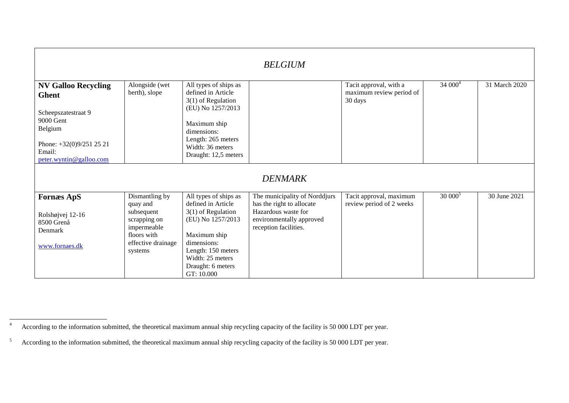| <b>BELGIUM</b>                                                                                                                                             |                                                                                                                         |                                                                                                                                                                                                      |                                                                                                                                        |                                                               |           |               |  |
|------------------------------------------------------------------------------------------------------------------------------------------------------------|-------------------------------------------------------------------------------------------------------------------------|------------------------------------------------------------------------------------------------------------------------------------------------------------------------------------------------------|----------------------------------------------------------------------------------------------------------------------------------------|---------------------------------------------------------------|-----------|---------------|--|
| <b>NV Galloo Recycling</b><br><b>Ghent</b><br>Scheepszatestraat 9<br>9000 Gent<br>Belgium<br>Phone: $+32(0)9/2512521$<br>Email:<br>peter.wyntin@galloo.com | Alongside (wet<br>berth), slope                                                                                         | All types of ships as<br>defined in Article<br>$3(1)$ of Regulation<br>(EU) No 1257/2013<br>Maximum ship<br>dimensions:<br>Length: 265 meters<br>Width: 36 meters<br>Draught: 12,5 meters            |                                                                                                                                        | Tacit approval, with a<br>maximum review period of<br>30 days | $34000^4$ | 31 March 2020 |  |
|                                                                                                                                                            |                                                                                                                         |                                                                                                                                                                                                      | <b>DENMARK</b>                                                                                                                         |                                                               |           |               |  |
| <b>Fornæs ApS</b><br>Rolshøjvej 12-16<br>8500 Grenå<br>Denmark<br>www.fornaes.dk                                                                           | Dismantling by<br>quay and<br>subsequent<br>scrapping on<br>impermeable<br>floors with<br>effective drainage<br>systems | All types of ships as<br>defined in Article<br>$3(1)$ of Regulation<br>(EU) No 1257/2013<br>Maximum ship<br>dimensions:<br>Length: 150 meters<br>Width: 25 meters<br>Draught: 6 meters<br>GT: 10.000 | The municipality of Norddjurs<br>has the right to allocate<br>Hazardous waste for<br>environmentally approved<br>reception facilities. | Tacit approval, maximum<br>review period of 2 weeks           | $30000^5$ | 30 June 2021  |  |

 $\overline{4}$ <sup>4</sup> According to the information submitted, the theoretical maximum annual ship recycling capacity of the facility is 50 000 LDT per year.

<sup>&</sup>lt;sup>5</sup> According to the information submitted, the theoretical maximum annual ship recycling capacity of the facility is 50 000 LDT per year.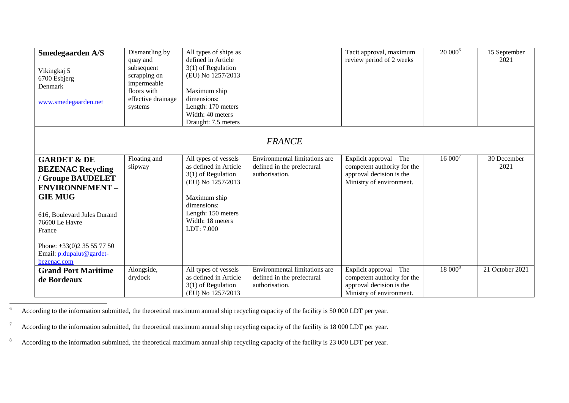| <b>Smedegaarden A/S</b><br>Vikingkaj 5<br>6700 Esbjerg<br>Denmark<br>www.smedegaarden.net                                                                                                                                                            | Dismantling by<br>quay and<br>subsequent<br>scrapping on<br>impermeable<br>floors with<br>effective drainage<br>systems | All types of ships as<br>defined in Article<br>$3(1)$ of Regulation<br>(EU) No 1257/2013<br>Maximum ship<br>dimensions:<br>Length: 170 meters<br>Width: 40 meters<br>Draught: 7,5 meters |                                                                               | Tacit approval, maximum<br>review period of 2 weeks                                                            | $20000^6$ | 15 September<br>2021 |  |  |  |
|------------------------------------------------------------------------------------------------------------------------------------------------------------------------------------------------------------------------------------------------------|-------------------------------------------------------------------------------------------------------------------------|------------------------------------------------------------------------------------------------------------------------------------------------------------------------------------------|-------------------------------------------------------------------------------|----------------------------------------------------------------------------------------------------------------|-----------|----------------------|--|--|--|
|                                                                                                                                                                                                                                                      | <b>FRANCE</b>                                                                                                           |                                                                                                                                                                                          |                                                                               |                                                                                                                |           |                      |  |  |  |
| <b>GARDET &amp; DE</b><br><b>BEZENAC Recycling</b><br>/ Groupe BAUDELET<br><b>ENVIRONNEMENT -</b><br><b>GIE MUG</b><br>616, Boulevard Jules Durand<br>76600 Le Havre<br>France<br>Phone: $+33(0)23557750$<br>Email: p.dupalut@gardet-<br>bezenac.com | Floating and<br>slipway                                                                                                 | All types of vessels<br>as defined in Article<br>$3(1)$ of Regulation<br>(EU) No 1257/2013<br>Maximum ship<br>dimensions:<br>Length: 150 meters<br>Width: 18 meters<br>LDT: 7.000        | Environmental limitations are<br>defined in the prefectural<br>authorisation. | Explicit approval – The<br>competent authority for the<br>approval decision is the<br>Ministry of environment. | 16000'    | 30 December<br>2021  |  |  |  |
| <b>Grand Port Maritime</b><br>de Bordeaux                                                                                                                                                                                                            | Alongside,<br>drydock                                                                                                   | All types of vessels<br>as defined in Article<br>$3(1)$ of Regulation<br>(EU) No 1257/2013                                                                                               | Environmental limitations are<br>defined in the prefectural<br>authorisation. | Explicit approval – The<br>competent authority for the<br>approval decision is the<br>Ministry of environment. | $18000^8$ | 21 October 2021      |  |  |  |

<sup>6</sup> According to the information submitted, the theoretical maximum annual ship recycling capacity of the facility is 50 000 LDT per year.

<sup>7</sup> According to the information submitted, the theoretical maximum annual ship recycling capacity of the facility is 18 000 LDT per year.

 $\sqrt{6}$ 

<sup>8</sup> According to the information submitted, the theoretical maximum annual ship recycling capacity of the facility is 23 000 LDT per year.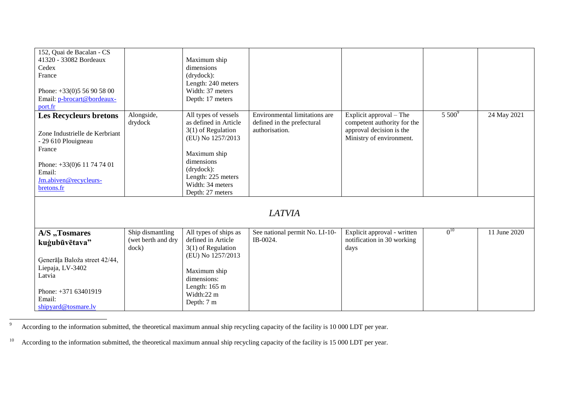| 152, Quai de Bacalan - CS<br>41320 - 33082 Bordeaux<br>Cedex<br>France<br>Phone: $+33(0)556905800$<br>Email: p-brocart@bordeaux-<br>port.fr                                   |                                                 | Maximum ship<br>dimensions<br>(drydock):<br>Length: 240 meters<br>Width: 37 meters<br>Depth: 17 meters                                                                                               |                                                                               |                                                                                                                |          |              |
|-------------------------------------------------------------------------------------------------------------------------------------------------------------------------------|-------------------------------------------------|------------------------------------------------------------------------------------------------------------------------------------------------------------------------------------------------------|-------------------------------------------------------------------------------|----------------------------------------------------------------------------------------------------------------|----------|--------------|
| <b>Les Recycleurs bretons</b><br>Zone Industrielle de Kerbriant<br>- 29 610 Plouigneau<br>France<br>Phone: $+33(0)611747401$<br>Email:<br>Jm.abiven@recycleurs-<br>bretons.fr | Alongside,<br>drydock                           | All types of vessels<br>as defined in Article<br>$3(1)$ of Regulation<br>(EU) No 1257/2013<br>Maximum ship<br>dimensions<br>(drydock):<br>Length: 225 meters<br>Width: 34 meters<br>Depth: 27 meters | Environmental limitations are<br>defined in the prefectural<br>authorisation. | Explicit approval – The<br>competent authority for the<br>approval decision is the<br>Ministry of environment. | $5500^9$ | 24 May 2021  |
|                                                                                                                                                                               |                                                 |                                                                                                                                                                                                      | <b>LATVIA</b>                                                                 |                                                                                                                |          |              |
| A/S "Tosmares<br>kuģubūvētava"<br>Generāļa Baloža street 42/44,<br>Liepaja, LV-3402<br>Latvia<br>Phone: +371 63401919<br>Email:<br>shipyard@tosmare.lv                        | Ship dismantling<br>(wet berth and dry<br>dock) | All types of ships as<br>defined in Article<br>$3(1)$ of Regulation<br>(EU) No 1257/2013<br>Maximum ship<br>dimensions:<br>Length: $165 \text{ m}$<br>Width:22 m<br>Depth: 7 m                       | See national permit No. LI-10-<br>IB-0024.                                    | Explicit approval - written<br>notification in 30 working<br>days                                              | $0^{10}$ | 11 June 2020 |

<sup>9</sup> According to the information submitted, the theoretical maximum annual ship recycling capacity of the facility is 10 000 LDT per year.

 $\overline{9}$ 

<sup>&</sup>lt;sup>10</sup> According to the information submitted, the theoretical maximum annual ship recycling capacity of the facility is 15 000 LDT per year.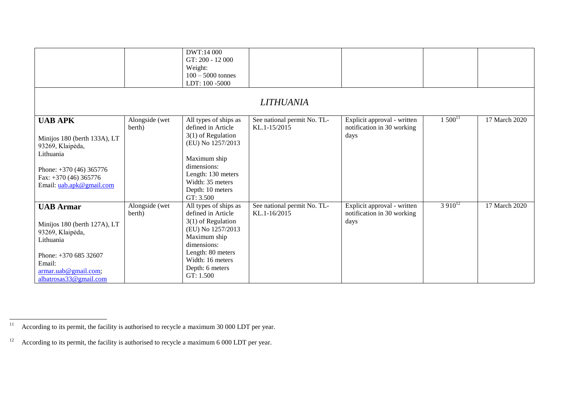|                                                                                                                                                                                        |                          | DWT:14 000<br>GT: 200 - 12 000<br>Weight:<br>$100 - 5000$ tonnes<br>LDT: 100 -5000                                                                                                                 | <b>LITHUANIA</b>                            |                                                                   |             |               |
|----------------------------------------------------------------------------------------------------------------------------------------------------------------------------------------|--------------------------|----------------------------------------------------------------------------------------------------------------------------------------------------------------------------------------------------|---------------------------------------------|-------------------------------------------------------------------|-------------|---------------|
| <b>UAB APK</b><br>Minijos 180 (berth 133A), LT<br>93269, Klaipėda,<br>Lithuania<br>Phone: $+370(46)365776$<br>Fax: $+370(46)365776$<br>Email: uab.apk@gmail.com                        | Alongside (wet<br>berth) | All types of ships as<br>defined in Article<br>$3(1)$ of Regulation<br>(EU) No 1257/2013<br>Maximum ship<br>dimensions:<br>Length: 130 meters<br>Width: 35 meters<br>Depth: 10 meters<br>GT: 3.500 | See national permit No. TL-<br>KL.1-15/2015 | Explicit approval - written<br>notification in 30 working<br>days | $1500^{11}$ | 17 March 2020 |
| <b>UAB Armar</b><br>Minijos 180 (berth 127A), LT<br>93269, Klaipėda,<br>Lithuania<br>Phone: $+37068532607$<br>Email:<br>$\frac{\text{armar.uab@gmail.com}}{$<br>albatrosas33@gmail.com | Alongside (wet<br>berth) | All types of ships as<br>defined in Article<br>$3(1)$ of Regulation<br>(EU) No 1257/2013<br>Maximum ship<br>dimensions:<br>Length: 80 meters<br>Width: 16 meters<br>Depth: 6 meters<br>GT: 1.500   | See national permit No. TL-<br>KL.1-16/2015 | Explicit approval - written<br>notification in 30 working<br>days | $3910^{12}$ | 17 March 2020 |

 $11\,$ According to its permit, the facility is authorised to recycle a maximum 30 000 LDT per year.

<sup>&</sup>lt;sup>12</sup> According to its permit, the facility is authorised to recycle a maximum 6 000 LDT per year.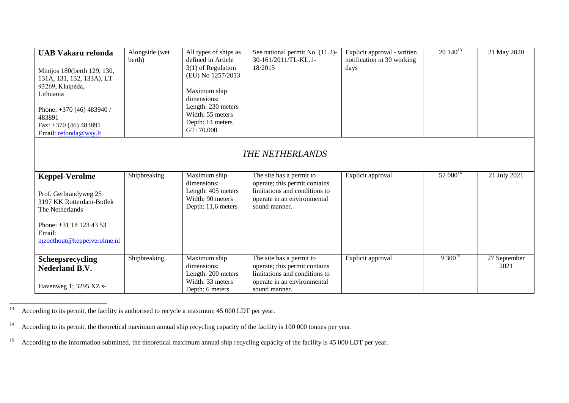| <b>UAB Vakaru refonda</b><br>Minijos 180(berth 129, 130,<br>131A, 131, 132, 133A), LT<br>93269, Klaipėda,<br>Lithuania<br>Phone: $+370(46)483940/$<br>483891<br>Fax: $+370(46)483891$<br>Email: refonda@wsy.lt | Alongside (wet<br>berth) | All types of ships as<br>defined in Article<br>$3(1)$ of Regulation<br>(EU) No 1257/2013<br>Maximum ship<br>dimensions:<br>Length: 230 meters<br>Width: 55 meters<br>Depth: 14 meters<br>GT: 70.000 | See national permit No. (11.2)-<br>30-161/2011/TL-KL.1-<br>18/2015                                                                         | Explicit approval - written<br>notification in 30 working<br>days | $20\,140^{13}$ | 21 May 2020          |  |  |
|----------------------------------------------------------------------------------------------------------------------------------------------------------------------------------------------------------------|--------------------------|-----------------------------------------------------------------------------------------------------------------------------------------------------------------------------------------------------|--------------------------------------------------------------------------------------------------------------------------------------------|-------------------------------------------------------------------|----------------|----------------------|--|--|
| <b>THE NETHERLANDS</b>                                                                                                                                                                                         |                          |                                                                                                                                                                                                     |                                                                                                                                            |                                                                   |                |                      |  |  |
| <b>Keppel-Verolme</b><br>Prof. Gerbrandyweg 25<br>3197 KK Rotterdam-Botlek<br>The Netherlands<br>Phone: +31 18 123 43 53<br>Email:<br>mzoethout@keppelverolme.nl                                               | Shipbreaking             | Maximum ship<br>dimensions:<br>Length: 405 meters<br>Width: 90 meters<br>Depth: 11,6 meters                                                                                                         | The site has a permit to<br>operate; this permit contains<br>limitations and conditions to<br>operate in an environmental<br>sound manner. | Explicit approval                                                 | $52~000^{14}$  | 21 July 2021         |  |  |
| Scheepsrecycling<br><b>Nederland B.V.</b><br>Havenweg 1; 3295 XZ s-                                                                                                                                            | Shipbreaking             | Maximum ship<br>dimensions:<br>Length: 200 meters<br>Width: 33 meters<br>Depth: 6 meters                                                                                                            | The site has a permit to<br>operate; this permit contains<br>limitations and conditions to<br>operate in an environmental<br>sound manner. | Explicit approval                                                 | $9300^{15}$    | 27 September<br>2021 |  |  |

 $13$ According to its permit, the facility is authorised to recycle a maximum 45 000 LDT per year.

<sup>&</sup>lt;sup>14</sup> According to its permit, the theoretical maximum annual ship recycling capacity of the facility is 100 000 tonnes per year.

<sup>&</sup>lt;sup>15</sup> According to the information submitted, the theoretical maximum annual ship recycling capacity of the facility is 45 000 LDT per year.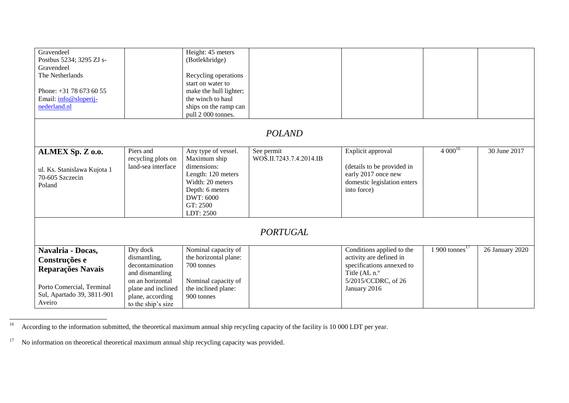| Gravendeel<br>Postbus 5234; 3295 ZJ s-<br>Gravendeel<br>The Netherlands<br>Phone: +31 78 673 60 55<br>Email: info@sloperij-  |                                                                                                                                                    | Height: 45 meters<br>(Botlekbridge)<br>Recycling operations<br>start on water to<br>make the hull lighter;<br>the winch to haul                       |                                       |                                                                                                                                           |                           |                 |
|------------------------------------------------------------------------------------------------------------------------------|----------------------------------------------------------------------------------------------------------------------------------------------------|-------------------------------------------------------------------------------------------------------------------------------------------------------|---------------------------------------|-------------------------------------------------------------------------------------------------------------------------------------------|---------------------------|-----------------|
| nederland.nl                                                                                                                 |                                                                                                                                                    | ships on the ramp can<br>pull 2 000 tonnes.                                                                                                           |                                       |                                                                                                                                           |                           |                 |
|                                                                                                                              |                                                                                                                                                    |                                                                                                                                                       | <b>POLAND</b>                         |                                                                                                                                           |                           |                 |
| ALMEX Sp. Z o.o.<br>ul. Ks. Stanislawa Kujota 1<br>70-605 Szczecin<br>Poland                                                 | Piers and<br>recycling plots on<br>land-sea interface                                                                                              | Any type of vessel.<br>Maximum ship<br>dimensions:<br>Length: 120 meters<br>Width: 20 meters<br>Depth: 6 meters<br>DWT: 6000<br>GT: 2500<br>LDT: 2500 | See permit<br>WOŚ.II.7243.7.4.2014.IB | Explicit approval<br>(details to be provided in<br>early 2017 once new<br>domestic legislation enters<br>into force)                      | $4000^{16}$               | 30 June 2017    |
|                                                                                                                              |                                                                                                                                                    |                                                                                                                                                       | <b>PORTUGAL</b>                       |                                                                                                                                           |                           |                 |
| Navalria - Docas,<br>Construções e<br>Reparações Navais<br>Porto Comercial, Terminal<br>Sul, Apartado 39, 3811-901<br>Aveiro | Dry dock<br>dismantling,<br>decontamination<br>and dismantling<br>on an horizontal<br>plane and inclined<br>plane, according<br>to the ship's size | Nominal capacity of<br>the horizontal plane:<br>700 tonnes<br>Nominal capacity of<br>the inclined plane:<br>900 tonnes                                |                                       | Conditions applied to the<br>activity are defined in<br>specifications annexed to<br>Title (AL n.º<br>5/2015/CCDRC, of 26<br>January 2016 | $900 \text{ tonnes}^{17}$ | 26 January 2020 |

 $16\,$ <sup>16</sup> According to the information submitted, the theoretical maximum annual ship recycling capacity of the facility is 10 000 LDT per year.

<sup>&</sup>lt;sup>17</sup> No information on theoretical theoretical maximum annual ship recycling capacity was provided.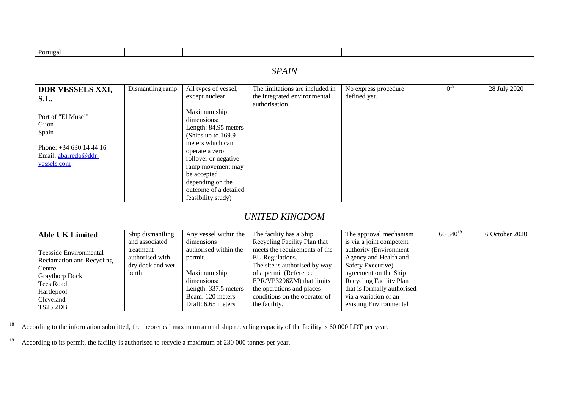| Portugal                                                                                                                                                                                         |                                                                                                        |                                                                                                                                                                                                                                                                                           |                                                                                                                                                                                                                                                                                    |                                                                                                                                                                                                                                                                  |               |                |  |  |
|--------------------------------------------------------------------------------------------------------------------------------------------------------------------------------------------------|--------------------------------------------------------------------------------------------------------|-------------------------------------------------------------------------------------------------------------------------------------------------------------------------------------------------------------------------------------------------------------------------------------------|------------------------------------------------------------------------------------------------------------------------------------------------------------------------------------------------------------------------------------------------------------------------------------|------------------------------------------------------------------------------------------------------------------------------------------------------------------------------------------------------------------------------------------------------------------|---------------|----------------|--|--|
| <b>SPAIN</b>                                                                                                                                                                                     |                                                                                                        |                                                                                                                                                                                                                                                                                           |                                                                                                                                                                                                                                                                                    |                                                                                                                                                                                                                                                                  |               |                |  |  |
| <b>DDR VESSELS XXI,</b><br>S.L.<br>Port of "El Musel"<br>Gijon<br>Spain<br>Phone: $+34630144416$<br>Email: abarredo@ddr-<br>vessels.com                                                          | Dismantling ramp                                                                                       | All types of vessel,<br>except nuclear<br>Maximum ship<br>dimensions:<br>Length: 84.95 meters<br>(Ships up to 169.9)<br>meters which can<br>operate a zero<br>rollover or negative<br>ramp movement may<br>be accepted<br>depending on the<br>outcome of a detailed<br>feasibility study) | The limitations are included in<br>the integrated environmental<br>authorisation.                                                                                                                                                                                                  | No express procedure<br>defined yet.                                                                                                                                                                                                                             | $0^{18}$      | 28 July 2020   |  |  |
|                                                                                                                                                                                                  |                                                                                                        |                                                                                                                                                                                                                                                                                           | <b>UNITED KINGDOM</b>                                                                                                                                                                                                                                                              |                                                                                                                                                                                                                                                                  |               |                |  |  |
| <b>Able UK Limited</b><br><b>Teesside Environmental</b><br><b>Reclamation and Recycling</b><br>Centre<br><b>Graythorp Dock</b><br><b>Tees Road</b><br>Hartlepool<br>Cleveland<br><b>TS25 2DB</b> | Ship dismantling<br>and associated<br>treatment<br>authorised with<br>dry dock and wet<br><b>berth</b> | Any vessel within the<br>dimensions<br>authorised within the<br>permit.<br>Maximum ship<br>dimensions:<br>Length: 337.5 meters<br>Beam: 120 meters<br>Draft: 6.65 meters                                                                                                                  | The facility has a Ship<br>Recycling Facility Plan that<br>meets the requirements of the<br>EU Regulations.<br>The site is authorised by way<br>of a permit (Reference<br>EPR/VP3296ZM) that limits<br>the operations and places<br>conditions on the operator of<br>the facility. | The approval mechanism<br>is via a joint competent<br>authority (Environment<br>Agency and Health and<br>Safety Executive)<br>agreement on the Ship<br>Recycling Facility Plan<br>that is formally authorised<br>via a variation of an<br>existing Environmental | 66 $340^{19}$ | 6 October 2020 |  |  |

 $18\,$ According to the information submitted, the theoretical maximum annual ship recycling capacity of the facility is 60 000 LDT per year.

<sup>19</sup> According to its permit, the facility is authorised to recycle a maximum of 230 000 tonnes per year.